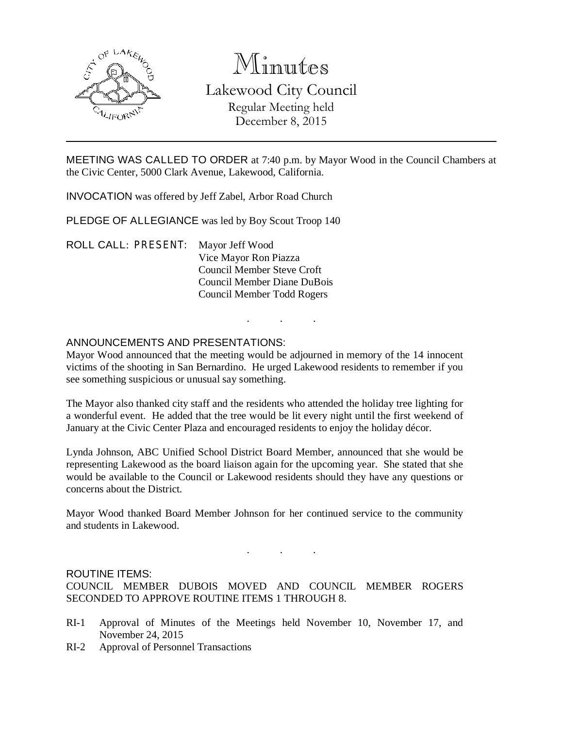

# Minutes Lakewood City Council Regular Meeting held December 8, 2015

MEETING WAS CALLED TO ORDER at 7:40 p.m. by Mayor Wood in the Council Chambers at the Civic Center, 5000 Clark Avenue, Lakewood, California.

INVOCATION was offered by Jeff Zabel, Arbor Road Church

PLEDGE OF ALLEGIANCE was led by Boy Scout Troop 140

ROLL CALL: PRESENT: Mayor Jeff Wood Vice Mayor Ron Piazza Council Member Steve Croft Council Member Diane DuBois Council Member Todd Rogers

## ANNOUNCEMENTS AND PRESENTATIONS:

Mayor Wood announced that the meeting would be adjourned in memory of the 14 innocent victims of the shooting in San Bernardino. He urged Lakewood residents to remember if you see something suspicious or unusual say something.

. . .

The Mayor also thanked city staff and the residents who attended the holiday tree lighting for a wonderful event. He added that the tree would be lit every night until the first weekend of January at the Civic Center Plaza and encouraged residents to enjoy the holiday décor.

Lynda Johnson, ABC Unified School District Board Member, announced that she would be representing Lakewood as the board liaison again for the upcoming year. She stated that she would be available to the Council or Lakewood residents should they have any questions or concerns about the District.

Mayor Wood thanked Board Member Johnson for her continued service to the community and students in Lakewood.

# . . .

#### ROUTINE ITEMS:

COUNCIL MEMBER DUBOIS MOVED AND COUNCIL MEMBER ROGERS SECONDED TO APPROVE ROUTINE ITEMS 1 THROUGH 8.

- RI-1 Approval of Minutes of the Meetings held November 10, November 17, and November 24, 2015
- RI-2 Approval of Personnel Transactions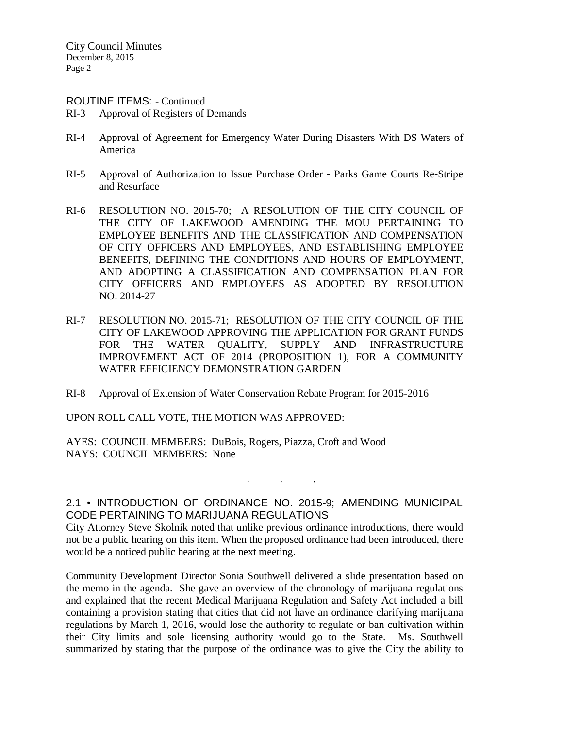#### ROUTINE ITEMS: - Continued

- RI-3 Approval of Registers of Demands
- RI-4 Approval of Agreement for Emergency Water During Disasters With DS Waters of America
- RI-5 Approval of Authorization to Issue Purchase Order Parks Game Courts Re-Stripe and Resurface
- RI-6 RESOLUTION NO. 2015-70; A RESOLUTION OF THE CITY COUNCIL OF THE CITY OF LAKEWOOD AMENDING THE MOU PERTAINING TO EMPLOYEE BENEFITS AND THE CLASSIFICATION AND COMPENSATION OF CITY OFFICERS AND EMPLOYEES, AND ESTABLISHING EMPLOYEE BENEFITS, DEFINING THE CONDITIONS AND HOURS OF EMPLOYMENT, AND ADOPTING A CLASSIFICATION AND COMPENSATION PLAN FOR CITY OFFICERS AND EMPLOYEES AS ADOPTED BY RESOLUTION NO. 2014-27
- RI-7 RESOLUTION NO. 2015-71; RESOLUTION OF THE CITY COUNCIL OF THE CITY OF LAKEWOOD APPROVING THE APPLICATION FOR GRANT FUNDS FOR THE WATER OUALITY, SUPPLY AND INFRASTRUCTURE IMPROVEMENT ACT OF 2014 (PROPOSITION 1), FOR A COMMUNITY WATER EFFICIENCY DEMONSTRATION GARDEN
- RI-8 Approval of Extension of Water Conservation Rebate Program for 2015-2016

UPON ROLL CALL VOTE, THE MOTION WAS APPROVED:

AYES: COUNCIL MEMBERS: DuBois, Rogers, Piazza, Croft and Wood NAYS: COUNCIL MEMBERS: None

# 2.1 • INTRODUCTION OF ORDINANCE NO. 2015-9; AMENDING MUNICIPAL CODE PERTAINING TO MARIJUANA REGULATIONS

. . .

City Attorney Steve Skolnik noted that unlike previous ordinance introductions, there would not be a public hearing on this item. When the proposed ordinance had been introduced, there would be a noticed public hearing at the next meeting.

Community Development Director Sonia Southwell delivered a slide presentation based on the memo in the agenda. She gave an overview of the chronology of marijuana regulations and explained that the recent Medical Marijuana Regulation and Safety Act included a bill containing a provision stating that cities that did not have an ordinance clarifying marijuana regulations by March 1, 2016, would lose the authority to regulate or ban cultivation within their City limits and sole licensing authority would go to the State. Ms. Southwell summarized by stating that the purpose of the ordinance was to give the City the ability to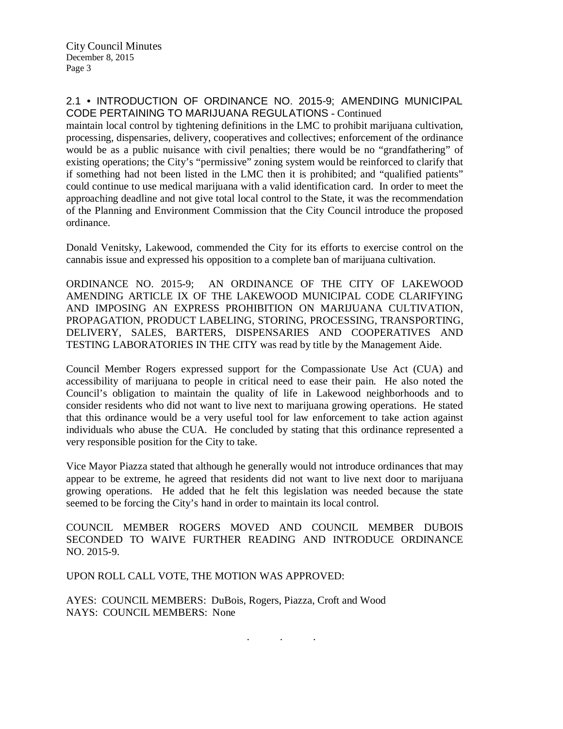## 2.1 • INTRODUCTION OF ORDINANCE NO. 2015-9; AMENDING MUNICIPAL CODE PERTAINING TO MARIJUANA REGULATIONS - Continued

maintain local control by tightening definitions in the LMC to prohibit marijuana cultivation, processing, dispensaries, delivery, cooperatives and collectives; enforcement of the ordinance would be as a public nuisance with civil penalties; there would be no "grandfathering" of existing operations; the City's "permissive" zoning system would be reinforced to clarify that if something had not been listed in the LMC then it is prohibited; and "qualified patients" could continue to use medical marijuana with a valid identification card. In order to meet the approaching deadline and not give total local control to the State, it was the recommendation of the Planning and Environment Commission that the City Council introduce the proposed ordinance.

Donald Venitsky, Lakewood, commended the City for its efforts to exercise control on the cannabis issue and expressed his opposition to a complete ban of marijuana cultivation.

ORDINANCE NO. 2015-9; AN ORDINANCE OF THE CITY OF LAKEWOOD AMENDING ARTICLE IX OF THE LAKEWOOD MUNICIPAL CODE CLARIFYING AND IMPOSING AN EXPRESS PROHIBITION ON MARIJUANA CULTIVATION, PROPAGATION, PRODUCT LABELING, STORING, PROCESSING, TRANSPORTING, DELIVERY, SALES, BARTERS, DISPENSARIES AND COOPERATIVES AND TESTING LABORATORIES IN THE CITY was read by title by the Management Aide.

Council Member Rogers expressed support for the Compassionate Use Act (CUA) and accessibility of marijuana to people in critical need to ease their pain. He also noted the Council's obligation to maintain the quality of life in Lakewood neighborhoods and to consider residents who did not want to live next to marijuana growing operations. He stated that this ordinance would be a very useful tool for law enforcement to take action against individuals who abuse the CUA. He concluded by stating that this ordinance represented a very responsible position for the City to take.

Vice Mayor Piazza stated that although he generally would not introduce ordinances that may appear to be extreme, he agreed that residents did not want to live next door to marijuana growing operations. He added that he felt this legislation was needed because the state seemed to be forcing the City's hand in order to maintain its local control.

COUNCIL MEMBER ROGERS MOVED AND COUNCIL MEMBER DUBOIS SECONDED TO WAIVE FURTHER READING AND INTRODUCE ORDINANCE NO. 2015-9.

. . .

UPON ROLL CALL VOTE, THE MOTION WAS APPROVED:

AYES: COUNCIL MEMBERS: DuBois, Rogers, Piazza, Croft and Wood NAYS: COUNCIL MEMBERS: None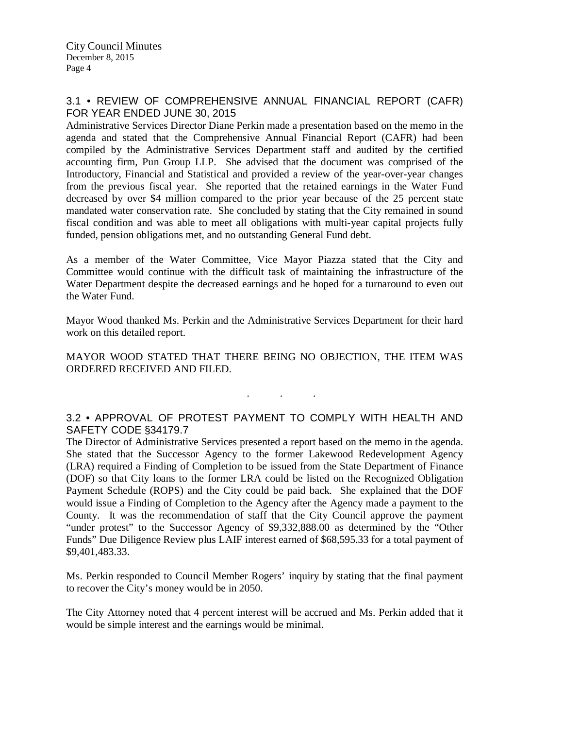# 3.1 • REVIEW OF COMPREHENSIVE ANNUAL FINANCIAL REPORT (CAFR) FOR YEAR ENDED JUNE 30, 2015

Administrative Services Director Diane Perkin made a presentation based on the memo in the agenda and stated that the Comprehensive Annual Financial Report (CAFR) had been compiled by the Administrative Services Department staff and audited by the certified accounting firm, Pun Group LLP. She advised that the document was comprised of the Introductory, Financial and Statistical and provided a review of the year-over-year changes from the previous fiscal year. She reported that the retained earnings in the Water Fund decreased by over \$4 million compared to the prior year because of the 25 percent state mandated water conservation rate. She concluded by stating that the City remained in sound fiscal condition and was able to meet all obligations with multi-year capital projects fully funded, pension obligations met, and no outstanding General Fund debt.

As a member of the Water Committee, Vice Mayor Piazza stated that the City and Committee would continue with the difficult task of maintaining the infrastructure of the Water Department despite the decreased earnings and he hoped for a turnaround to even out the Water Fund.

Mayor Wood thanked Ms. Perkin and the Administrative Services Department for their hard work on this detailed report.

MAYOR WOOD STATED THAT THERE BEING NO OBJECTION, THE ITEM WAS ORDERED RECEIVED AND FILED.

# 3.2 • APPROVAL OF PROTEST PAYMENT TO COMPLY WITH HEALTH AND SAFETY CODE §34179.7

. . .

The Director of Administrative Services presented a report based on the memo in the agenda. She stated that the Successor Agency to the former Lakewood Redevelopment Agency (LRA) required a Finding of Completion to be issued from the State Department of Finance (DOF) so that City loans to the former LRA could be listed on the Recognized Obligation Payment Schedule (ROPS) and the City could be paid back. She explained that the DOF would issue a Finding of Completion to the Agency after the Agency made a payment to the County. It was the recommendation of staff that the City Council approve the payment "under protest" to the Successor Agency of \$9,332,888.00 as determined by the "Other Funds" Due Diligence Review plus LAIF interest earned of \$68,595.33 for a total payment of \$9,401,483.33.

Ms. Perkin responded to Council Member Rogers' inquiry by stating that the final payment to recover the City's money would be in 2050.

The City Attorney noted that 4 percent interest will be accrued and Ms. Perkin added that it would be simple interest and the earnings would be minimal.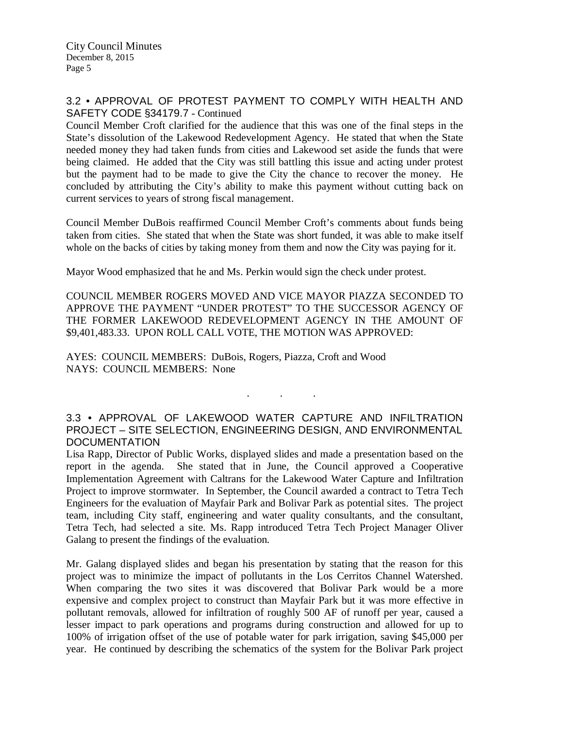## 3.2 • APPROVAL OF PROTEST PAYMENT TO COMPLY WITH HEALTH AND SAFETY CODE §34179.7 - Continued

Council Member Croft clarified for the audience that this was one of the final steps in the State's dissolution of the Lakewood Redevelopment Agency. He stated that when the State needed money they had taken funds from cities and Lakewood set aside the funds that were being claimed. He added that the City was still battling this issue and acting under protest but the payment had to be made to give the City the chance to recover the money. He concluded by attributing the City's ability to make this payment without cutting back on current services to years of strong fiscal management.

Council Member DuBois reaffirmed Council Member Croft's comments about funds being taken from cities. She stated that when the State was short funded, it was able to make itself whole on the backs of cities by taking money from them and now the City was paying for it.

Mayor Wood emphasized that he and Ms. Perkin would sign the check under protest.

COUNCIL MEMBER ROGERS MOVED AND VICE MAYOR PIAZZA SECONDED TO APPROVE THE PAYMENT "UNDER PROTEST" TO THE SUCCESSOR AGENCY OF THE FORMER LAKEWOOD REDEVELOPMENT AGENCY IN THE AMOUNT OF \$9,401,483.33. UPON ROLL CALL VOTE, THE MOTION WAS APPROVED:

AYES: COUNCIL MEMBERS: DuBois, Rogers, Piazza, Croft and Wood NAYS: COUNCIL MEMBERS: None

# 3.3 • APPROVAL OF LAKEWOOD WATER CAPTURE AND INFILTRATION PROJECT – SITE SELECTION, ENGINEERING DESIGN, AND ENVIRONMENTAL **DOCUMENTATION**

. . .

Lisa Rapp, Director of Public Works, displayed slides and made a presentation based on the report in the agenda. She stated that in June, the Council approved a Cooperative Implementation Agreement with Caltrans for the Lakewood Water Capture and Infiltration Project to improve stormwater. In September, the Council awarded a contract to Tetra Tech Engineers for the evaluation of Mayfair Park and Bolivar Park as potential sites. The project team, including City staff, engineering and water quality consultants, and the consultant, Tetra Tech, had selected a site. Ms. Rapp introduced Tetra Tech Project Manager Oliver Galang to present the findings of the evaluation.

Mr. Galang displayed slides and began his presentation by stating that the reason for this project was to minimize the impact of pollutants in the Los Cerritos Channel Watershed. When comparing the two sites it was discovered that Bolivar Park would be a more expensive and complex project to construct than Mayfair Park but it was more effective in pollutant removals, allowed for infiltration of roughly 500 AF of runoff per year, caused a lesser impact to park operations and programs during construction and allowed for up to 100% of irrigation offset of the use of potable water for park irrigation, saving \$45,000 per year. He continued by describing the schematics of the system for the Bolivar Park project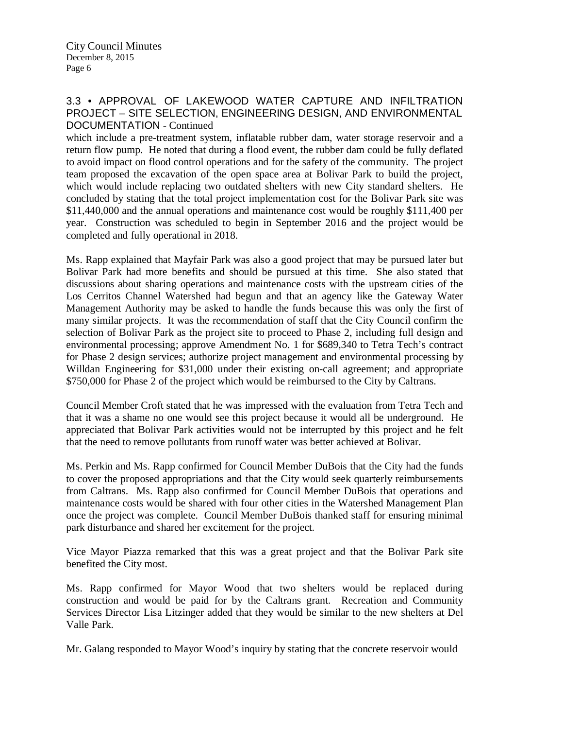## 3.3 • APPROVAL OF LAKEWOOD WATER CAPTURE AND INFILTRATION PROJECT – SITE SELECTION, ENGINEERING DESIGN, AND ENVIRONMENTAL DOCUMENTATION - Continued

which include a pre-treatment system, inflatable rubber dam, water storage reservoir and a return flow pump. He noted that during a flood event, the rubber dam could be fully deflated to avoid impact on flood control operations and for the safety of the community. The project team proposed the excavation of the open space area at Bolivar Park to build the project, which would include replacing two outdated shelters with new City standard shelters. He concluded by stating that the total project implementation cost for the Bolivar Park site was \$11,440,000 and the annual operations and maintenance cost would be roughly \$111,400 per year. Construction was scheduled to begin in September 2016 and the project would be completed and fully operational in 2018.

Ms. Rapp explained that Mayfair Park was also a good project that may be pursued later but Bolivar Park had more benefits and should be pursued at this time. She also stated that discussions about sharing operations and maintenance costs with the upstream cities of the Los Cerritos Channel Watershed had begun and that an agency like the Gateway Water Management Authority may be asked to handle the funds because this was only the first of many similar projects. It was the recommendation of staff that the City Council confirm the selection of Bolivar Park as the project site to proceed to Phase 2, including full design and environmental processing; approve Amendment No. 1 for \$689,340 to Tetra Tech's contract for Phase 2 design services; authorize project management and environmental processing by Willdan Engineering for \$31,000 under their existing on-call agreement; and appropriate \$750,000 for Phase 2 of the project which would be reimbursed to the City by Caltrans.

Council Member Croft stated that he was impressed with the evaluation from Tetra Tech and that it was a shame no one would see this project because it would all be underground. He appreciated that Bolivar Park activities would not be interrupted by this project and he felt that the need to remove pollutants from runoff water was better achieved at Bolivar.

Ms. Perkin and Ms. Rapp confirmed for Council Member DuBois that the City had the funds to cover the proposed appropriations and that the City would seek quarterly reimbursements from Caltrans. Ms. Rapp also confirmed for Council Member DuBois that operations and maintenance costs would be shared with four other cities in the Watershed Management Plan once the project was complete. Council Member DuBois thanked staff for ensuring minimal park disturbance and shared her excitement for the project.

Vice Mayor Piazza remarked that this was a great project and that the Bolivar Park site benefited the City most.

Ms. Rapp confirmed for Mayor Wood that two shelters would be replaced during construction and would be paid for by the Caltrans grant. Recreation and Community Services Director Lisa Litzinger added that they would be similar to the new shelters at Del Valle Park.

Mr. Galang responded to Mayor Wood's inquiry by stating that the concrete reservoir would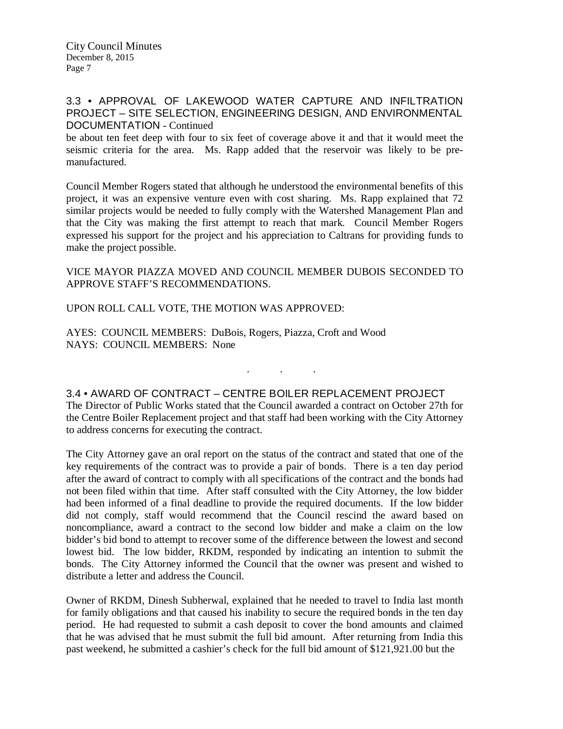## 3.3 • APPROVAL OF LAKEWOOD WATER CAPTURE AND INFILTRATION PROJECT – SITE SELECTION, ENGINEERING DESIGN, AND ENVIRONMENTAL DOCUMENTATION - Continued

be about ten feet deep with four to six feet of coverage above it and that it would meet the seismic criteria for the area. Ms. Rapp added that the reservoir was likely to be premanufactured.

Council Member Rogers stated that although he understood the environmental benefits of this project, it was an expensive venture even with cost sharing. Ms. Rapp explained that 72 similar projects would be needed to fully comply with the Watershed Management Plan and that the City was making the first attempt to reach that mark. Council Member Rogers expressed his support for the project and his appreciation to Caltrans for providing funds to make the project possible.

### VICE MAYOR PIAZZA MOVED AND COUNCIL MEMBER DUBOIS SECONDED TO APPROVE STAFF'S RECOMMENDATIONS.

### UPON ROLL CALL VOTE, THE MOTION WAS APPROVED:

AYES: COUNCIL MEMBERS: DuBois, Rogers, Piazza, Croft and Wood NAYS: COUNCIL MEMBERS: None

## 3.4 • AWARD OF CONTRACT – CENTRE BOILER REPLACEMENT PROJECT

The Director of Public Works stated that the Council awarded a contract on October 27th for the Centre Boiler Replacement project and that staff had been working with the City Attorney to address concerns for executing the contract.

. . .

The City Attorney gave an oral report on the status of the contract and stated that one of the key requirements of the contract was to provide a pair of bonds. There is a ten day period after the award of contract to comply with all specifications of the contract and the bonds had not been filed within that time. After staff consulted with the City Attorney, the low bidder had been informed of a final deadline to provide the required documents. If the low bidder did not comply, staff would recommend that the Council rescind the award based on noncompliance, award a contract to the second low bidder and make a claim on the low bidder's bid bond to attempt to recover some of the difference between the lowest and second lowest bid. The low bidder, RKDM, responded by indicating an intention to submit the bonds. The City Attorney informed the Council that the owner was present and wished to distribute a letter and address the Council.

Owner of RKDM, Dinesh Subherwal, explained that he needed to travel to India last month for family obligations and that caused his inability to secure the required bonds in the ten day period. He had requested to submit a cash deposit to cover the bond amounts and claimed that he was advised that he must submit the full bid amount. After returning from India this past weekend, he submitted a cashier's check for the full bid amount of \$121,921.00 but the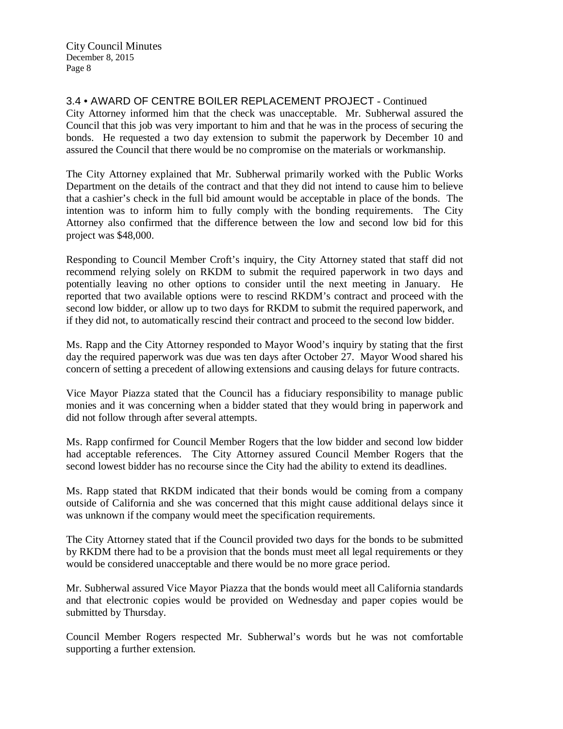3.4 • AWARD OF CENTRE BOILER REPLACEMENT PROJECT - Continued

City Attorney informed him that the check was unacceptable. Mr. Subherwal assured the Council that this job was very important to him and that he was in the process of securing the bonds. He requested a two day extension to submit the paperwork by December 10 and assured the Council that there would be no compromise on the materials or workmanship.

The City Attorney explained that Mr. Subherwal primarily worked with the Public Works Department on the details of the contract and that they did not intend to cause him to believe that a cashier's check in the full bid amount would be acceptable in place of the bonds. The intention was to inform him to fully comply with the bonding requirements. The City Attorney also confirmed that the difference between the low and second low bid for this project was \$48,000.

Responding to Council Member Croft's inquiry, the City Attorney stated that staff did not recommend relying solely on RKDM to submit the required paperwork in two days and potentially leaving no other options to consider until the next meeting in January. He reported that two available options were to rescind RKDM's contract and proceed with the second low bidder, or allow up to two days for RKDM to submit the required paperwork, and if they did not, to automatically rescind their contract and proceed to the second low bidder.

Ms. Rapp and the City Attorney responded to Mayor Wood's inquiry by stating that the first day the required paperwork was due was ten days after October 27. Mayor Wood shared his concern of setting a precedent of allowing extensions and causing delays for future contracts.

Vice Mayor Piazza stated that the Council has a fiduciary responsibility to manage public monies and it was concerning when a bidder stated that they would bring in paperwork and did not follow through after several attempts.

Ms. Rapp confirmed for Council Member Rogers that the low bidder and second low bidder had acceptable references. The City Attorney assured Council Member Rogers that the second lowest bidder has no recourse since the City had the ability to extend its deadlines.

Ms. Rapp stated that RKDM indicated that their bonds would be coming from a company outside of California and she was concerned that this might cause additional delays since it was unknown if the company would meet the specification requirements.

The City Attorney stated that if the Council provided two days for the bonds to be submitted by RKDM there had to be a provision that the bonds must meet all legal requirements or they would be considered unacceptable and there would be no more grace period.

Mr. Subherwal assured Vice Mayor Piazza that the bonds would meet all California standards and that electronic copies would be provided on Wednesday and paper copies would be submitted by Thursday.

Council Member Rogers respected Mr. Subherwal's words but he was not comfortable supporting a further extension.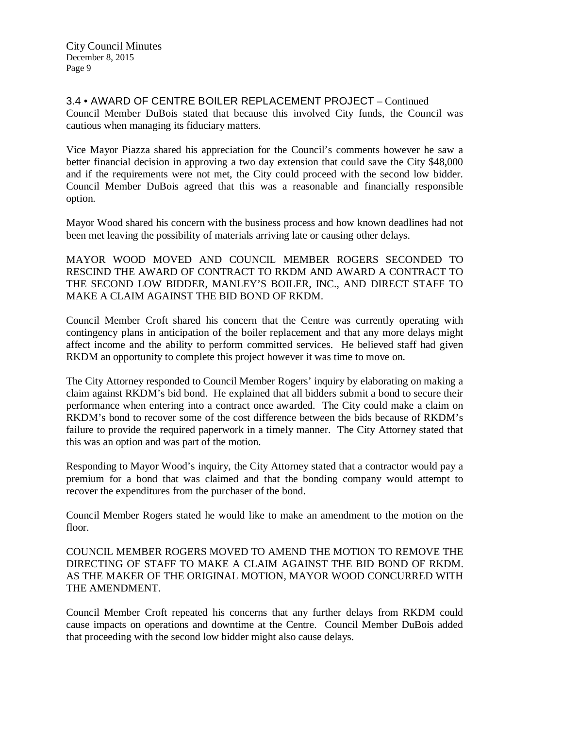3.4 • AWARD OF CENTRE BOILER REPLACEMENT PROJECT – Continued Council Member DuBois stated that because this involved City funds, the Council was cautious when managing its fiduciary matters.

Vice Mayor Piazza shared his appreciation for the Council's comments however he saw a better financial decision in approving a two day extension that could save the City \$48,000 and if the requirements were not met, the City could proceed with the second low bidder. Council Member DuBois agreed that this was a reasonable and financially responsible option.

Mayor Wood shared his concern with the business process and how known deadlines had not been met leaving the possibility of materials arriving late or causing other delays.

MAYOR WOOD MOVED AND COUNCIL MEMBER ROGERS SECONDED TO RESCIND THE AWARD OF CONTRACT TO RKDM AND AWARD A CONTRACT TO THE SECOND LOW BIDDER, MANLEY'S BOILER, INC., AND DIRECT STAFF TO MAKE A CLAIM AGAINST THE BID BOND OF RKDM.

Council Member Croft shared his concern that the Centre was currently operating with contingency plans in anticipation of the boiler replacement and that any more delays might affect income and the ability to perform committed services. He believed staff had given RKDM an opportunity to complete this project however it was time to move on.

The City Attorney responded to Council Member Rogers' inquiry by elaborating on making a claim against RKDM's bid bond. He explained that all bidders submit a bond to secure their performance when entering into a contract once awarded. The City could make a claim on RKDM's bond to recover some of the cost difference between the bids because of RKDM's failure to provide the required paperwork in a timely manner. The City Attorney stated that this was an option and was part of the motion.

Responding to Mayor Wood's inquiry, the City Attorney stated that a contractor would pay a premium for a bond that was claimed and that the bonding company would attempt to recover the expenditures from the purchaser of the bond.

Council Member Rogers stated he would like to make an amendment to the motion on the floor.

COUNCIL MEMBER ROGERS MOVED TO AMEND THE MOTION TO REMOVE THE DIRECTING OF STAFF TO MAKE A CLAIM AGAINST THE BID BOND OF RKDM. AS THE MAKER OF THE ORIGINAL MOTION, MAYOR WOOD CONCURRED WITH THE AMENDMENT.

Council Member Croft repeated his concerns that any further delays from RKDM could cause impacts on operations and downtime at the Centre. Council Member DuBois added that proceeding with the second low bidder might also cause delays.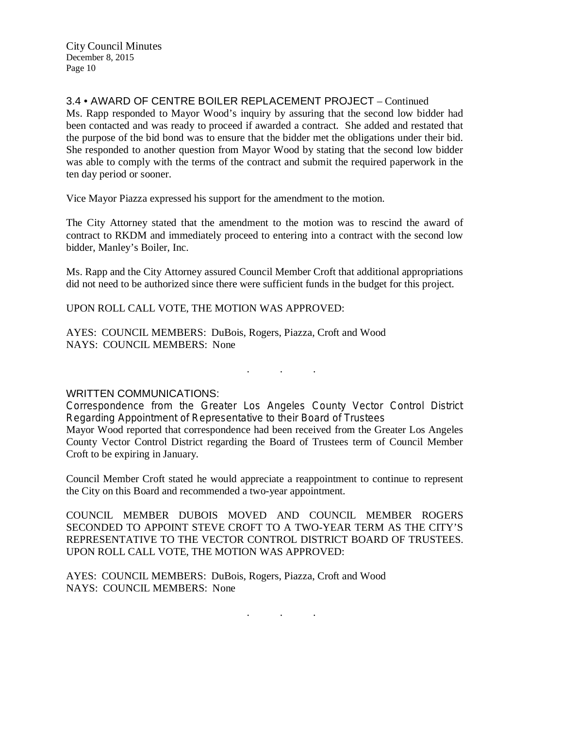# 3.4 • AWARD OF CENTRE BOILER REPLACEMENT PROJECT – Continued

Ms. Rapp responded to Mayor Wood's inquiry by assuring that the second low bidder had been contacted and was ready to proceed if awarded a contract. She added and restated that the purpose of the bid bond was to ensure that the bidder met the obligations under their bid. She responded to another question from Mayor Wood by stating that the second low bidder was able to comply with the terms of the contract and submit the required paperwork in the ten day period or sooner.

Vice Mayor Piazza expressed his support for the amendment to the motion.

The City Attorney stated that the amendment to the motion was to rescind the award of contract to RKDM and immediately proceed to entering into a contract with the second low bidder, Manley's Boiler, Inc.

Ms. Rapp and the City Attorney assured Council Member Croft that additional appropriations did not need to be authorized since there were sufficient funds in the budget for this project.

UPON ROLL CALL VOTE, THE MOTION WAS APPROVED:

AYES: COUNCIL MEMBERS: DuBois, Rogers, Piazza, Croft and Wood NAYS: COUNCIL MEMBERS: None

 $\mathbf{r}$  .  $\mathbf{r}$  ,  $\mathbf{r}$  ,  $\mathbf{r}$  ,  $\mathbf{r}$  ,  $\mathbf{r}$  ,  $\mathbf{r}$ 

#### WRITTEN COMMUNICATIONS:

Correspondence from the Greater Los Angeles County Vector Control District Regarding Appointment of Representative to their Board of Trustees Mayor Wood reported that correspondence had been received from the Greater Los Angeles County Vector Control District regarding the Board of Trustees term of Council Member Croft to be expiring in January.

Council Member Croft stated he would appreciate a reappointment to continue to represent the City on this Board and recommended a two-year appointment.

COUNCIL MEMBER DUBOIS MOVED AND COUNCIL MEMBER ROGERS SECONDED TO APPOINT STEVE CROFT TO A TWO-YEAR TERM AS THE CITY'S REPRESENTATIVE TO THE VECTOR CONTROL DISTRICT BOARD OF TRUSTEES. UPON ROLL CALL VOTE, THE MOTION WAS APPROVED:

AYES: COUNCIL MEMBERS: DuBois, Rogers, Piazza, Croft and Wood NAYS: COUNCIL MEMBERS: None

. . .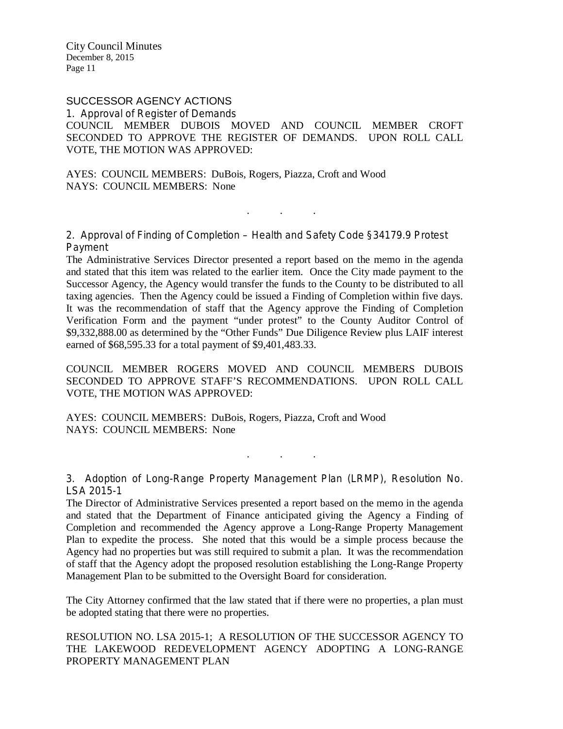# SUCCESSOR AGENCY ACTIONS

1. Approval of Register of Demands COUNCIL MEMBER DUBOIS MOVED AND COUNCIL MEMBER CROFT SECONDED TO APPROVE THE REGISTER OF DEMANDS. UPON ROLL CALL VOTE, THE MOTION WAS APPROVED:

AYES: COUNCIL MEMBERS: DuBois, Rogers, Piazza, Croft and Wood NAYS: COUNCIL MEMBERS: None

2. Approval of Finding of Completion – Health and Safety Code §34179.9 Protest Payment

. . .

The Administrative Services Director presented a report based on the memo in the agenda and stated that this item was related to the earlier item. Once the City made payment to the Successor Agency, the Agency would transfer the funds to the County to be distributed to all taxing agencies. Then the Agency could be issued a Finding of Completion within five days. It was the recommendation of staff that the Agency approve the Finding of Completion Verification Form and the payment "under protest" to the County Auditor Control of \$9,332,888.00 as determined by the "Other Funds" Due Diligence Review plus LAIF interest earned of \$68,595.33 for a total payment of \$9,401,483.33.

COUNCIL MEMBER ROGERS MOVED AND COUNCIL MEMBERS DUBOIS SECONDED TO APPROVE STAFF'S RECOMMENDATIONS. UPON ROLL CALL VOTE, THE MOTION WAS APPROVED:

AYES: COUNCIL MEMBERS: DuBois, Rogers, Piazza, Croft and Wood NAYS: COUNCIL MEMBERS: None

3. Adoption of Long-Range Property Management Plan (LRMP), Resolution No. LSA 2015-1

. . .

The Director of Administrative Services presented a report based on the memo in the agenda and stated that the Department of Finance anticipated giving the Agency a Finding of Completion and recommended the Agency approve a Long-Range Property Management Plan to expedite the process. She noted that this would be a simple process because the Agency had no properties but was still required to submit a plan. It was the recommendation of staff that the Agency adopt the proposed resolution establishing the Long-Range Property Management Plan to be submitted to the Oversight Board for consideration.

The City Attorney confirmed that the law stated that if there were no properties, a plan must be adopted stating that there were no properties.

RESOLUTION NO. LSA 2015-1; A RESOLUTION OF THE SUCCESSOR AGENCY TO THE LAKEWOOD REDEVELOPMENT AGENCY ADOPTING A LONG-RANGE PROPERTY MANAGEMENT PLAN